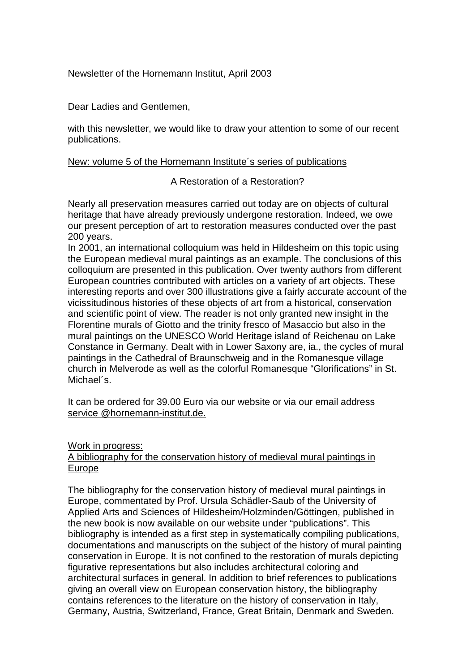Newsletter of the Hornemann Institut, April 2003

Dear Ladies and Gentlemen,

with this newsletter, we would like to draw your attention to some of our recent publications.

# New: volume 5 of the Hornemann Institute´s series of publications

# A Restoration of a Restoration?

Nearly all preservation measures carried out today are on objects of cultural heritage that have already previously undergone restoration. Indeed, we owe our present perception of art to restoration measures conducted over the past 200 years.

In 2001, an international colloquium was held in Hildesheim on this topic using the European medieval mural paintings as an example. The conclusions of this colloquium are presented in this publication. Over twenty authors from different European countries contributed with articles on a variety of art objects. These interesting reports and over 300 illustrations give a fairly accurate account of the vicissitudinous histories of these objects of art from a historical, conservation and scientific point of view. The reader is not only granted new insight in the Florentine murals of Giotto and the trinity fresco of Masaccio but also in the mural paintings on the UNESCO World Heritage island of Reichenau on Lake Constance in Germany. Dealt with in Lower Saxony are, ia., the cycles of mural paintings in the Cathedral of Braunschweig and in the Romanesque village church in Melverode as well as the colorful Romanesque "Glorifications" in St. Michael´s.

It can be ordered for 39.00 Euro via our website or via our email address service @hornemann-institut.de.

### Work in progress:

### A bibliography for the conservation history of medieval mural paintings in Europe

The bibliography for the conservation history of medieval mural paintings in Europe, commentated by Prof. Ursula Schädler-Saub of the University of Applied Arts and Sciences of Hildesheim/Holzminden/Göttingen, published in the new book is now available on our website under "publications". This bibliography is intended as a first step in systematically compiling publications, documentations and manuscripts on the subject of the history of mural painting conservation in Europe. It is not confined to the restoration of murals depicting figurative representations but also includes architectural coloring and architectural surfaces in general. In addition to brief references to publications giving an overall view on European conservation history, the bibliography contains references to the literature on the history of conservation in Italy, Germany, Austria, Switzerland, France, Great Britain, Denmark and Sweden.